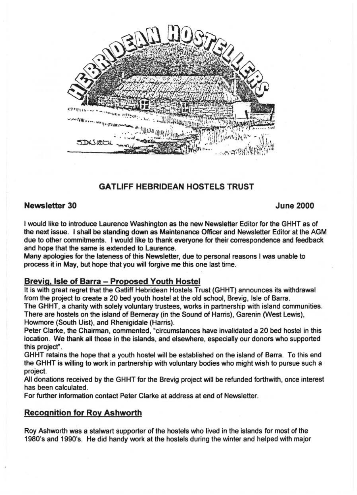

# **GATLIFF HEBRIDEAN HOSTELS TRUST**

# **Newsletter 30 June 2000**

I would like to introduce Laurence Washington as the new Newsletter Editor for the GHHT as of the next issue. I shall be standing down as Maintenance Officer and Newsletter Editor at the AGM due to other commitments. I would like to thank everyone for their correspondence and feedback and hope that the same is extended to Laurence.

Many apologies for the lateness of this Newsletter, due to personal reasons I was unable to process it in May, but hope that you will forgive me this one last time.

#### **Brevig. Isle of Barra - Proposed Youth Hostel**

It is with great regret that the Gatliff Hebridean Hostels Trust (GHHT) announces its withdrawal from the project to create a 20 bed youth hostel at the old school, Brevig, Isle of Barra.

The GHHT, a charity with solely voluntary trustees, works in partnership with island communities. There are hostels on the island of Berneray (in the Sound of Harris), Garenin (West Lewis), Howmore (South Uist), and Rhenigidale (Harris).

Peter Clarke, the Chairman, commented, "circumstances have invalidated a 20 bed hostel in this location. We thank all those in the islands, and elsewhere, especially our donors who supported this project".

GHHT retains the hope that a youth hostel will be established on the island of Barra. To this end the GHHT is willing to work in partnership with voluntary bodies who might wish to pursue such a project.

All donations received by the GHHT for the Brevig project will be refunded forthwith, once interest has been calculated.

For further information contact Peter Clarke at address at end of Newsletter.

# **Recognition for Roy Ashworth**

Roy Ashworth was a stalwart supporter of the hostels who lived in the islands for most of the 1980's and 1990's. He did handy work at the hostels during the winter and helped with major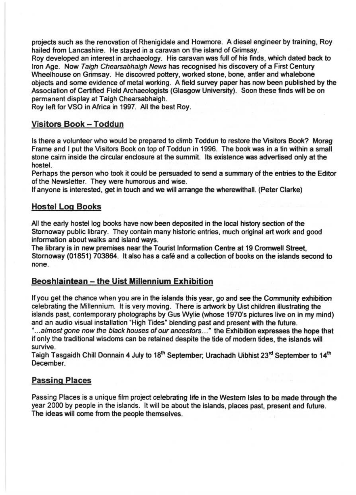projects such as the renovation of Rhenigidale and Howmore. A diesel engineer by training, Roy hailed from Lancashire. He stayed in a caravan on the island of Grimsay.

Roy developed an interest in archaeology. His caravan was full of his finds, which dated back to Iron Age. Now Taigh Chearsabhaigh News has recognised his discovery of a First Century Wheelhouse on Grimsay. He discovred pottery, worked stone, bone, antler and whalebone objects and some evidence of metal working. A field survey paper has now been published by the Association of Certified Field Archaeologists (Glasgow University). Soon these finds will be on permanent display at Taigh Chearsabhaigh.

Roy left for VSO in Africa in 1997. All the best Roy.

# Visitors Book - Toddun

Is there a volunteer who would be prepared to climb Toddun to restore the Visitors Book? Morag Frame and I put the Visitors Book on top of Toddun in 1996. The book was in a tin within a small stone cairn inside the circular enclosure at the summit. Its existence was advertised only at the hostel.

Perhaps the person who took it could be persuaded to send a summary of the entries to the Editor of the Newsletter. They were humorous and wise.

If anyone is interested, get in touch and we will arrange the wherewithall. (Peter Clarke)

# Hostel Log Books

All the early hostel log books have now been deposited in the local history section of the Stornoway public library. They contain many historic entries, much original art work and good information about walks and island ways.

The library is in new premises near the Tourist Information Centre at 19 Cromwell Street, Stornoway (01851) 703864. It also has a cafe and a collection of books on the islands second to none.

# Beoshlaintean - the Uist Millennium Exhibition

If you get the chance when you are in the islands this year, go and see the Community exhibition celebrating the Millennium. It is very moving. There is artwork by Uist children illustrating the islands past, contemporary photographs by Gus Wylie (whose 1970's pictures live on in my mind) and an audio visual installation "High Tides" blending past and present with the future.

"... almost gone now the black houses of our ancestors..." the Exhibition expresses the hope that if only the traditional wisdoms can be retained despite the tide of modern tides, the islands will survive.

Taigh Tasgaidh Chill Donnain 4 July to 18<sup>th</sup> September; Urachadh Uibhist 23<sup>rd</sup> September to 14<sup>th</sup> December.

# Passing Places

PaSSing Places is a unique film project celebrating life in the Western Isles to be made through the year 2000 by people in the islands. It will be about the islands, places past, present and future. The ideas will come from the people themselves.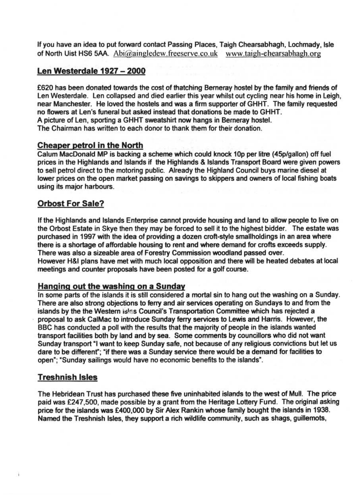If you have an idea to put forward contact Passing Places, Taigh Chearsabhagh, Lochmady, Isle of North Uist HS6 SM. Abi@aingledew.freeserve.co.uk www.taigh-ehearsabhagh.org

# **Len Westerdale 1927 - 2000**

£620 has been donated towards the cost of thatching Berneray hostel by the family and friends of Len Westerdale. Len collapsed and died earlier this year whilst out cycling near his home in Leigh, near Manchester. He loved the hostels and was a firm supporter of GHHT. The family requested no flowers at Len's funeral but asked instead that donations be made to GHHT. A picture of Len, sporting a GHHT sweatshirt now hangs in Berneray hostel. The Chairman has written to each donor to thank them for their donation.

# **Cheaper petrol in the North**

Calum MacDonald MP is backing a scheme which could knock 10p per litre (45p/gallon) off fuel prices in the Highlands and Islands if the Highlands & Islands Transport Board were given powers to sell petrol direct to the motoring public. Already the Highland Council buys marine diesel at lower prices on the open market passing on savings to skippers and owners of local fishing boats using its major harbours.

# **Orbost For Sale?**

If the Highlands and Islands Enterprise cannot provide housing and land to allow people to live on the Orbost Estate in Skye then they may be forced to sell it to the highest bidder. The estate was purchased in 1997 with the idea of providing a dozen croft-style smallholdings in an area where there is a shortage of affordable housing to rent and where demand for crofts exceeds supply. There was also a sizeable area of Forestry Commission woodland passed over. However H&I plans have met with much local opposition and there will be heated debates at local meetings and counter proposals have been posted for a golf course.

# **Hanging out the washing on a Sunday**

In some parts of the islands it is still considered a mortal sin to hang out the washing on a Sunday. There are also strong objections to ferry and air services operating on Sundays to and from the islands by the the Western Isles Council's Transportation Committee which has rejected a proposal to ask CalMac to introduce Sunday ferry services to Lewis and Harris. However, the BBC has conducted a poll with the results that the majority of people in the islands wanted transport facilities both by land and by sea. Some comments by councillors who did not want Sunday transport "I want to keep Sunday safe, not because of any religious convictions but let us dare to be differenf; "if there was a Sunday service there would be a demand for facilities to open"; "Sunday sailings would have no economic benefits to the islands".

# **Treshnish Isles**

The Hebridean Trust has purchased these five uninhabited islands to the west of Mull. The price paid was £247,SOO, made possible by a grant from the Heritage Lottery Fund. The original asking price for the islands was £400,000 by Sir Alex Rankin whose family bought the islands in 1938. Named the Treshnish Isles, they support a rich wildlife community, such as shags, guillemots,